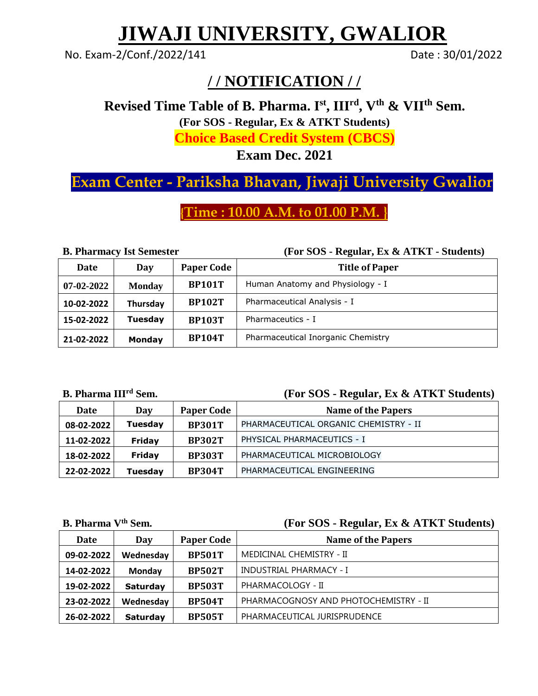# **JIWAJI UNIVERSITY, GWALIOR**

No. Exam-2/Conf./2022/141 Date: 30/01/2022

### **/ / NOTIFICATION / /**

**Revised Time Table of B. Pharma. I st , IIIrd, Vth & VIIth Sem.** 

**(For SOS - Regular, Ex & ATKT Students)** 

**Choice Based Credit System (CBCS)**

**Exam Dec. 2021**

## **Exam Center - Pariksha Bhavan, Jiwaji University Gwalior**

**{Time : 10.00 A.M. to 01.00 P.M. }**

**B. Pharmacy Ist Semester (For SOS - Regular, Ex & ATKT - Students)**

| Date             | Day           | <b>Paper Code</b> | <b>Title of Paper</b>              |
|------------------|---------------|-------------------|------------------------------------|
| $07 - 02 - 2022$ | <b>Monday</b> | <b>BP101T</b>     | Human Anatomy and Physiology - I   |
| 10-02-2022       | Thursday      | <b>BP102T</b>     | Pharmaceutical Analysis - I        |
| 15-02-2022       | Tuesday       | <b>BP103T</b>     | Pharmaceutics - I                  |
| 21-02-2022       | Monday        | <b>BP104T</b>     | Pharmaceutical Inorganic Chemistry |

**B. Pharma III**

#### **(For SOS - Regular, Ex & ATKT Students)**

| Date       | Day     | <b>Paper Code</b> | <b>Name of the Papers</b>             |
|------------|---------|-------------------|---------------------------------------|
| 08-02-2022 | Tuesday | <b>BP301T</b>     | PHARMACEUTICAL ORGANIC CHEMISTRY - II |
| 11-02-2022 | Friday  | <b>BP302T</b>     | PHYSICAL PHARMACEUTICS - I            |
| 18-02-2022 | Friday  | <b>BP303T</b>     | PHARMACEUTICAL MICROBIOLOGY           |
| 22-02-2022 | Tuesday | <b>BP304T</b>     | PHARMACEUTICAL ENGINEERING            |

#### **B. Pharma Vth [Sem.](http://www.jiwaji.edu/admin/PDF/NoticeBoard2012/Revised%20Notification%20Regarding%20Form%20Filling%20Examination%20%20Date%20of%20M.B.A.%20(Full%20Time)(HA)(H.R.D.)(FA)(CSM)%20(Fine%20%26%20Pharma),%20M.B.A.%20%20(E-Commerce),%20(B.E.)(TA)2883.pdf) (For SOS - Regular, Ex & ATKT Students)**

| Date       | Day             | <b>Paper Code</b> | <b>Name of the Papers</b>             |
|------------|-----------------|-------------------|---------------------------------------|
| 09-02-2022 | Wednesday       | <b>BP501T</b>     | MEDICINAL CHEMISTRY - II              |
| 14-02-2022 | Monday          | <b>BP502T</b>     | <b>INDUSTRIAL PHARMACY - I</b>        |
| 19-02-2022 | <b>Saturday</b> | <b>BP503T</b>     | PHARMACOLOGY - II                     |
| 23-02-2022 | Wednesday       | <b>BP504T</b>     | PHARMACOGNOSY AND PHOTOCHEMISTRY - II |
| 26-02-2022 | <b>Saturday</b> | <b>BP505T</b>     | PHARMACEUTICAL JURISPRUDENCE          |